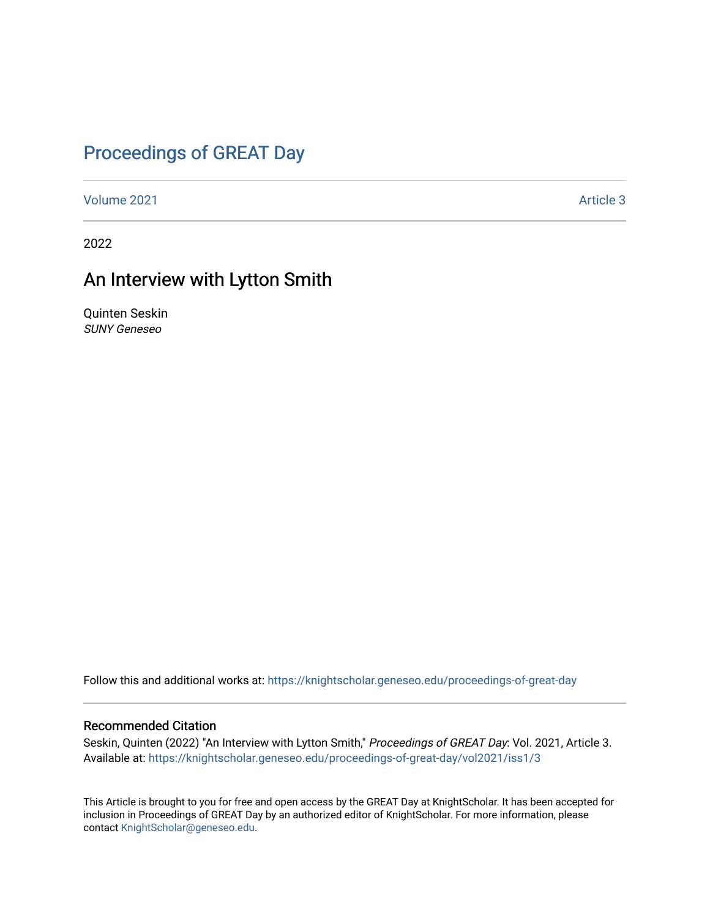### [Proceedings of GREAT Day](https://knightscholar.geneseo.edu/proceedings-of-great-day)

[Volume 2021](https://knightscholar.geneseo.edu/proceedings-of-great-day/vol2021) **Article 3** Article 3

2022

#### An Interview with Lytton Smith

Quinten Seskin SUNY Geneseo

Follow this and additional works at: [https://knightscholar.geneseo.edu/proceedings-of-great-day](https://knightscholar.geneseo.edu/proceedings-of-great-day?utm_source=knightscholar.geneseo.edu%2Fproceedings-of-great-day%2Fvol2021%2Fiss1%2F3&utm_medium=PDF&utm_campaign=PDFCoverPages) 

#### Recommended Citation

Seskin, Quinten (2022) "An Interview with Lytton Smith," Proceedings of GREAT Day: Vol. 2021, Article 3. Available at: [https://knightscholar.geneseo.edu/proceedings-of-great-day/vol2021/iss1/3](https://knightscholar.geneseo.edu/proceedings-of-great-day/vol2021/iss1/3?utm_source=knightscholar.geneseo.edu%2Fproceedings-of-great-day%2Fvol2021%2Fiss1%2F3&utm_medium=PDF&utm_campaign=PDFCoverPages) 

This Article is brought to you for free and open access by the GREAT Day at KnightScholar. It has been accepted for inclusion in Proceedings of GREAT Day by an authorized editor of KnightScholar. For more information, please contact [KnightScholar@geneseo.edu.](mailto:KnightScholar@geneseo.edu)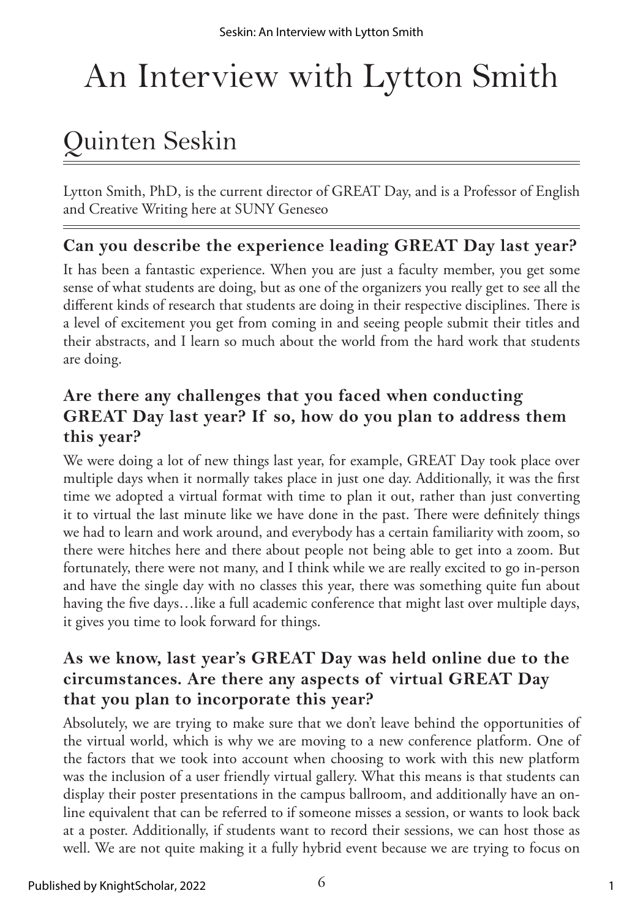# An Interview with Lytton Smith

## Quinten Seskin

Lytton Smith, PhD, is the current director of GREAT Day, and is a Professor of English and Creative Writing here at SUNY Geneseo

#### **Can you describe the experience leading GREAT Day last year?**

It has been a fantastic experience. When you are just a faculty member, you get some sense of what students are doing, but as one of the organizers you really get to see all the different kinds of research that students are doing in their respective disciplines. There is a level of excitement you get from coming in and seeing people submit their titles and their abstracts, and I learn so much about the world from the hard work that students are doing.

#### **Are there any challenges that you faced when conducting GREAT Day last year? If so, how do you plan to address them this year?**

We were doing a lot of new things last year, for example, GREAT Day took place over multiple days when it normally takes place in just one day. Additionally, it was the first time we adopted a virtual format with time to plan it out, rather than just converting it to virtual the last minute like we have done in the past. There were definitely things we had to learn and work around, and everybody has a certain familiarity with zoom, so there were hitches here and there about people not being able to get into a zoom. But fortunately, there were not many, and I think while we are really excited to go in-person and have the single day with no classes this year, there was something quite fun about having the five days...like a full academic conference that might last over multiple days, it gives you time to look forward for things.

#### **As we know, last year's GREAT Day was held online due to the circumstances. Are there any aspects of virtual GREAT Day that you plan to incorporate this year?**

Absolutely, we are trying to make sure that we don't leave behind the opportunities of the virtual world, which is why we are moving to a new conference platform. One of the factors that we took into account when choosing to work with this new platform was the inclusion of a user friendly virtual gallery. What this means is that students can display their poster presentations in the campus ballroom, and additionally have an online equivalent that can be referred to if someone misses a session, or wants to look back at a poster. Additionally, if students want to record their sessions, we can host those as well. We are not quite making it a fully hybrid event because we are trying to focus on